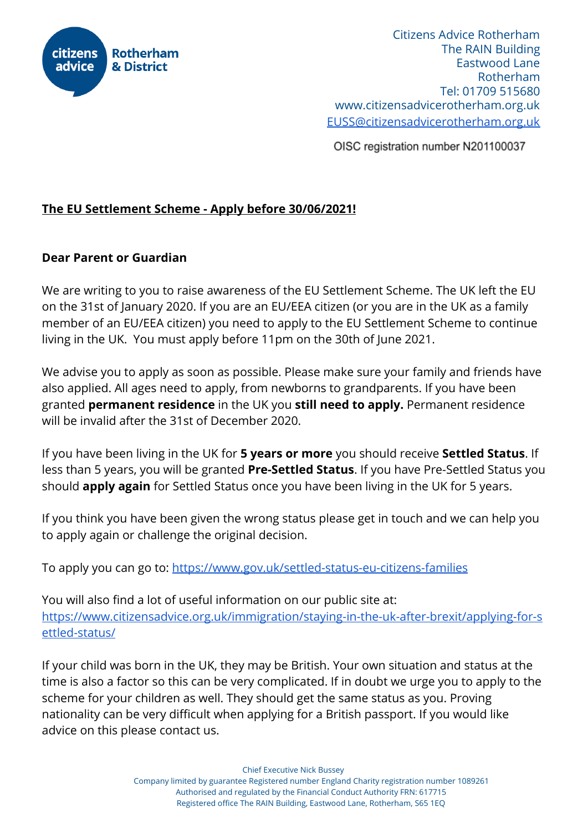

Citizens Advice Rotherham The RAIN Building Eastwood Lane Rotherham Tel: 01709 515680 [www.citizensadvicerotherham.org.uk](http://www.citizensadvicerotherham.org.uk/) [EUSS@citizensadvicerotherham.org.uk](mailto:EUSS@citizensadvicerotherham.org.uk)

OISC registration number N201100037

## **The EU Settlement Scheme - Apply before 30/06/2021!**

## **Dear Parent or Guardian**

We are writing to you to raise awareness of the EU Settlement Scheme. The UK left the EU on the 31st of January 2020. If you are an EU/EEA citizen (or you are in the UK as a family member of an EU/EEA citizen) you need to apply to the EU Settlement Scheme to continue living in the UK. You must apply before 11pm on the 30th of June 2021.

We advise you to apply as soon as possible. Please make sure your family and friends have also applied. All ages need to apply, from newborns to grandparents. If you have been granted **permanent residence** in the UK you **still need to apply.** Permanent residence will be invalid after the 31st of December 2020.

If you have been living in the UK for **5 years or more** you should receive **Settled Status**. If less than 5 years, you will be granted **Pre-Settled Status**. If you have Pre-Settled Status you should **apply again** for Settled Status once you have been living in the UK for 5 years.

If you think you have been given the wrong status please get in touch and we can help you to apply again or challenge the original decision.

To apply you can go to: <https://www.gov.uk/settled-status-eu-citizens-families>

You will also find a lot of useful information on our public site at: [https://www.citizensadvice.org.uk/immigration/staying-in-the-uk-after-brexit/applying-for-s](https://www.citizensadvice.org.uk/immigration/staying-in-the-uk-after-brexit/applying-for-settled-status/) [ettled-status/](https://www.citizensadvice.org.uk/immigration/staying-in-the-uk-after-brexit/applying-for-settled-status/)

If your child was born in the UK, they may be British. Your own situation and status at the time is also a factor so this can be very complicated. If in doubt we urge you to apply to the scheme for your children as well. They should get the same status as you. Proving nationality can be very difficult when applying for a British passport. If you would like advice on this please contact us.